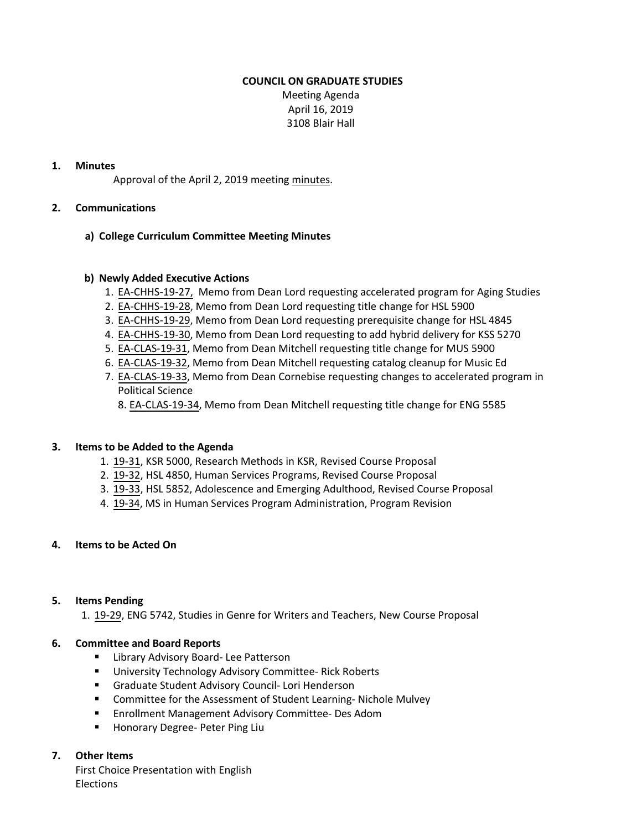### **COUNCIL ON GRADUATE STUDIES**

Meeting Agenda April 16, 2019 3108 Blair Hall

# **1. Minutes**

Approval of the April 2, 2019 meetin[g minutes.](http://castle.eiu.edu/eiucgs/currentminutes/Minutes4-2-19.pdf)

#### **2. Communications**

#### **a) College Curriculum Committee Meeting Minutes**

#### **b) Newly Added Executive Actions**

- 1. [EA-CHHS-19-27,](http://castle.eiu.edu/eiucgs/exec-actions/EA-CHHS-19-27.pdf) Memo from Dean Lord requesting accelerated program for Aging Studies
- 2. [EA-CHHS-19-28,](http://castle.eiu.edu/eiucgs/exec-actions/EA-CHHS-19-28.pdf) Memo from Dean Lord requesting title change for HSL 5900
- 3. [EA-CHHS-19-29,](http://castle.eiu.edu/eiucgs/exec-actions/EA-CHHS-19-29.pdf) Memo from Dean Lord requesting prerequisite change for HSL 4845
- 4. [EA-CHHS-19-30,](http://castle.eiu.edu/eiucgs/exec-actions/EA-CHHS-19-30.pdf) Memo from Dean Lord requesting to add hybrid delivery for KSS 5270
- 5. [EA-CLAS-19-31,](http://castle.eiu.edu/eiucgs/exec-actions/EA-CLAS-19-31.pdf) Memo from Dean Mitchell requesting title change for MUS 5900
- 6. [EA-CLAS-19-32,](http://castle.eiu.edu/eiucgs/exec-actions/EA-CLAS-19-32.pdf) Memo from Dean Mitchell requesting catalog cleanup for Music Ed
- 7. [EA-CLAS-19-33,](http://castle.eiu.edu/eiucgs/exec-actions/EA-CLAS-19-33.pdf) Memo from Dean Cornebise requesting changes to accelerated program in Political Science
	- 8. [EA-CLAS-19-34,](http://castle.eiu.edu/eiucgs/exec-actions/EA-CLAS-19-34.pdf) Memo from Dean Mitchell requesting title change for ENG 5585

# **3. Items to be Added to the Agenda**

- 1. [19-31,](http://castle.eiu.edu/eiucgs/currentagendaitems/agenda19-31.pdf) KSR 5000, Research Methods in KSR, Revised Course Proposal
- 2. [19-32,](http://castle.eiu.edu/eiucgs/currentagendaitems/agenda19-32.pdf) HSL 4850, Human Services Programs, Revised Course Proposal
- 3. [19-33,](http://castle.eiu.edu/eiucgs/currentagendaitems/agenda19-33.pdf) HSL 5852, Adolescence and Emerging Adulthood, Revised Course Proposal
- 4. [19-34,](http://castle.eiu.edu/eiucgs/currentagendaitems/agenda19-34.pdf) MS in Human Services Program Administration, Program Revision

# **4. Items to be Acted On**

#### **5. Items Pending**

1. [19-29,](http://castle.eiu.edu/eiucgs/currentagendaitems/agenda19-29.pdf) ENG 5742, Studies in Genre for Writers and Teachers, New Course Proposal

# **6. Committee and Board Reports**

- **E** Library Advisory Board- Lee Patterson
- **University Technology Advisory Committee- Rick Roberts**
- Graduate Student Advisory Council- Lori Henderson
- Committee for the Assessment of Student Learning- Nichole Mulvey
- **Enrollment Management Advisory Committee- Des Adom**
- **Honorary Degree- Peter Ping Liu**

# **7. Other Items**

First Choice Presentation with English **Elections**